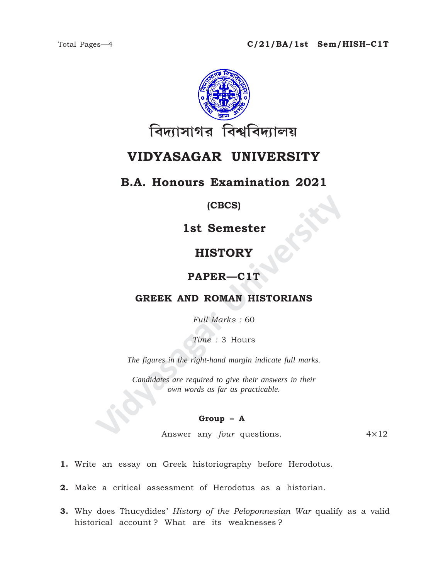

# **VIDYASAGAR UNIVERSITY**

## **B.A. Honours Examination 2021**

### **(CBCS)**

**1st Semester**

## **HISTORY**

### **PAPER—C1T**

### **GREEK AND ROMAN HISTORIANS**

*Full Marks :* 60

*Time :* 3 Hours

*The figures in the right-hand margin indicate full marks.*

**IST Semester<br>
HISTORY<br>
PAPER—C1T<br>
GREEK AND ROMAN HISTORIANS**<br>
Full Marks : 60<br>
Time : 3 Hours<br>
The figures in the right-hand margin indicate full marks.<br>
Candidates are required to give their answers in their<br>
cover any *Candidates are required to give their answers in their own words as far as practicable.*

#### **Group – A**

Answer any *four* questions. 4×12

**1.** Write an essay on Greek historiography before Herodotus.

**2.** Make a critical assessment of Herodotus as a historian.

**3.** Why does Thucydides' *History of the Peloponnesian War* qualify as a valid historical account ? What are its weaknesses ?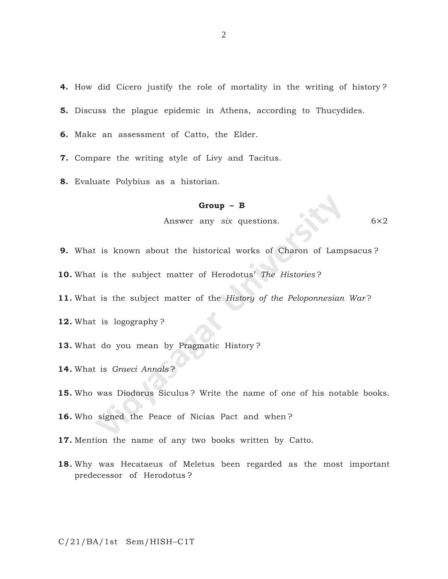**4.** How did Cicero justify the role of mortality in the writing of history ?

**5.** Discuss the plague epidemic in Athens, according to Thucydides.

**6.** Make an assessment of Catto, the Elder.

**7.** Compare the writing style of Livy and Tacitus.

**8.** Evaluate Polybius as a historian.

#### **Group – B**

Answer any *six* questions. 6×2

**9.** What is known about the historical works of Charon of Lampsacus ?

**10.** What is the subject matter of Herodotus' *The Histories* ?

**11.** What is the subject matter of the *History of the Peloponnesian War* ?

**12.** What is logography ?

**13.** What do you mean by Pragmatic History ?

**14.** What is *Graeci Annals* ?

**Group - B**<br>Answer any *six* questions.<br>
is known about the historical works of Charon of Lamp<br>
is the subject matter of Herodotus' *The Histories* ?<br>
is the subject matter of the *History of the Peloponnesian*<br>
is logogra **15.** Who was Diodorus Siculus ? Write the name of one of his notable books.

**16.** Who signed the Peace of Nicias Pact and when ?

**17.** Mention the name of any two books written by Catto.

**18.** Why was Hecataeus of Meletus been regarded as the most important predecessor of Herodotus ?

C/21/BA/1st Sem/HISH–C1T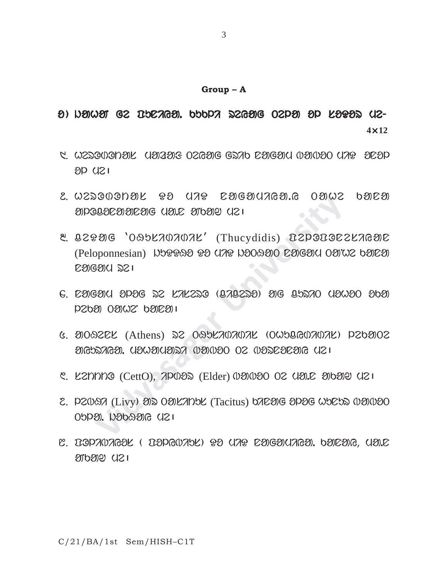#### **Group – A**

# $\theta$ )  $D$ ahaa Ge buuraaa. buupa segag Oepa ap laaas ue-**4**×**12**

- 5. WEDOUONYL (1912916 OZGEIG GDAD EYIGYIU IYAVYO UAP YEYP  $8D$   $(121)$
- 2. W2DOODDU PO UAP COGOUAGO.G OOW2 bOCO  $\mathcal D$ POL $\mathcal D$ C $\mathcal D$ R $\mathcal D$ G (1 $\mathcal D$ L $\mathcal D$ C  $\mathcal D$ T $\mathcal D$ C  $\mathcal D$  and  $\mathcal D$
- May Controller Incorpression of the Controller Composed Controller Composed Controller Componential Department<br>Width Componential Department Composed Componential Department<br>Width Componential Department Composed Component  $2.2996$  '0992707072' (Thucydidis) D2PODOC2276910 (Peloponnesian) WOPPAO PO UAP WOOAO COGOU OOW OOOO nagam re|
- $6.$   $20600$  or  $22$   $27220$   $(070220)$  are  $0.5270$   $(10000$   $000)$  $DSD30$   $OSDO2$ ,  $DSD201$
- $6.$   $3009202$  (Athens)  $32.099270707072$  (OW50607072)  $P263002$ ayepiyasa, yayayyay wawao os wayepeaye ysi
- ୯. ८२khno (Cetto), ମଦାଥର (Elder) 1021020 02 ପଥ.୮ ଥାଏଥା ପଥ ।
- 2. PZW97 (Livy) OD OORZYNY (Tacitus) 672006 OPOG WYCH WOWOO  $O\phi$ ang. Dagaang  $C1$
- $\mathbb{C}$ . DOPAVAGOL ( DOPGVAYL) PO UAP COIGOUAGO. HOLOR, UOIC  $20000$   $(121)$